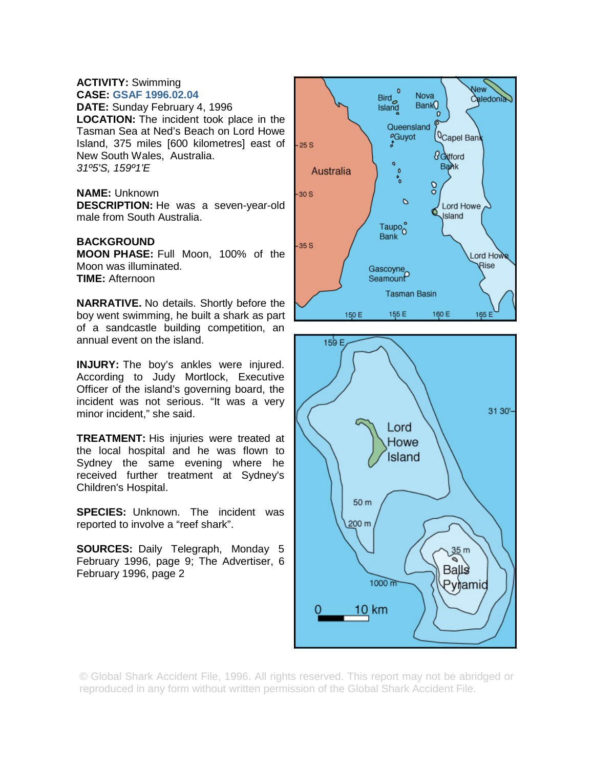## **ACTIVITY:** Swimming **CASE: GSAF 1996.02.04**

**DATE:** Sunday February 4, 1996 **LOCATION:** The incident took place in the Tasman Sea at Ned's Beach on Lord Howe Island, 375 miles [600 kilometres] east of New South Wales, Australia. *31º5'S, 159º1'E* 

## **NAME:** Unknown

**DESCRIPTION:** He was a seven-year-old male from South Australia.

## **BACKGROUND**

**MOON PHASE:** Full Moon, 100% of the Moon was illuminated. **TIME:** Afternoon

**NARRATIVE.** No details. Shortly before the boy went swimming, he built a shark as part of a sandcastle building competition, an annual event on the island.

**INJURY:** The boy's ankles were injured. According to Judy Mortlock, Executive Officer of the island's governing board, the incident was not serious. "It was a very minor incident," she said.

**TREATMENT:** His injuries were treated at the local hospital and he was flown to Sydney the same evening where he received further treatment at Sydney's Children's Hospital.

**SPECIES:** Unknown. The incident was reported to involve a "reef shark".

**SOURCES:** Daily Telegraph, Monday 5 February 1996, page 9; The Advertiser, 6 February 1996, page 2





© Global Shark Accident File, 1996. All rights reserved. This report may not be abridged or reproduced in any form without written permission of the Global Shark Accident File.